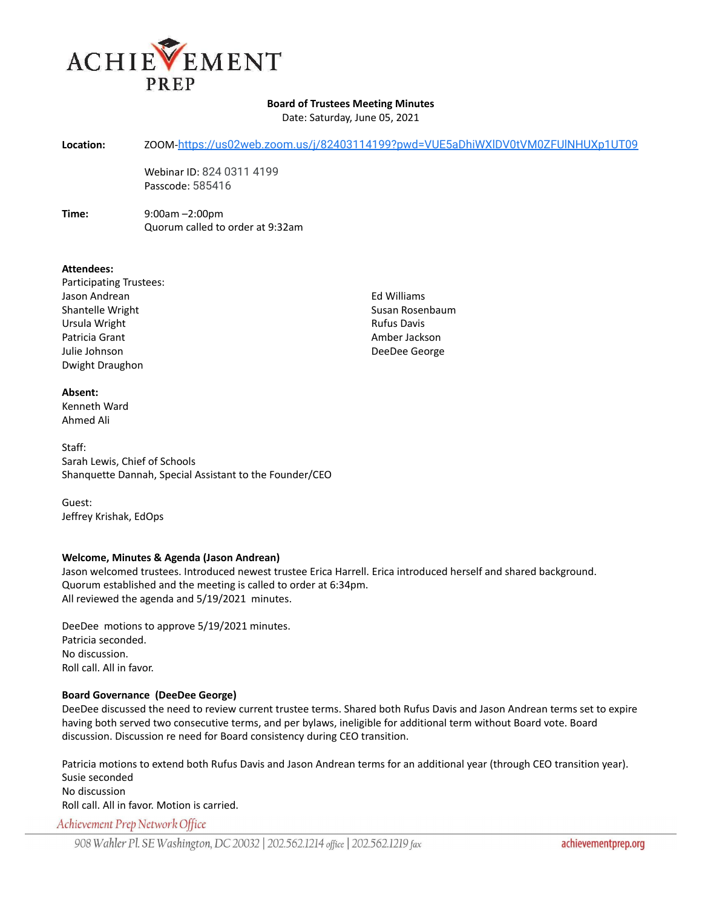

## **Board of Trustees Meeting Minutes**

Date: Saturday, June 05, 2021

**Location:** ZOOM-<https://us02web.zoom.us/j/82403114199?pwd=VUE5aDhiWXlDV0tVM0ZFUlNHUXp1UT09>

Webinar ID: 824 0311 4199 Passcode: 585416

**Time:** 9:00am –2:00pm Quorum called to order at 9:32am

### **Attendees:**

- Participating Trustees: Jason Andrean Shantelle Wright Ursula Wright Patricia Grant Julie Johnson Dwight Draughon
- **Absent:** Kenneth Ward Ahmed Ali

Staff: Sarah Lewis, Chief of Schools Shanquette Dannah, Special Assistant to the Founder/CEO

Guest: Jeffrey Krishak, EdOps

# **Welcome, Minutes & Agenda (Jason Andrean)**

Jason welcomed trustees. Introduced newest trustee Erica Harrell. Erica introduced herself and shared background. Quorum established and the meeting is called to order at 6:34pm. All reviewed the agenda and 5/19/2021 minutes.

DeeDee motions to approve 5/19/2021 minutes. Patricia seconded. No discussion. Roll call. All in favor.

# **Board Governance (DeeDee George)**

DeeDee discussed the need to review current trustee terms. Shared both Rufus Davis and Jason Andrean terms set to expire having both served two consecutive terms, and per bylaws, ineligible for additional term without Board vote. Board discussion. Discussion re need for Board consistency during CEO transition.

Patricia motions to extend both Rufus Davis and Jason Andrean terms for an additional year (through CEO transition year). Susie seconded No discussion Roll call. All in favor. Motion is carried.

Achievement Prep Network Office

Ed Williams Susan Rosenbaum Rufus Davis Amber Jackson DeeDee George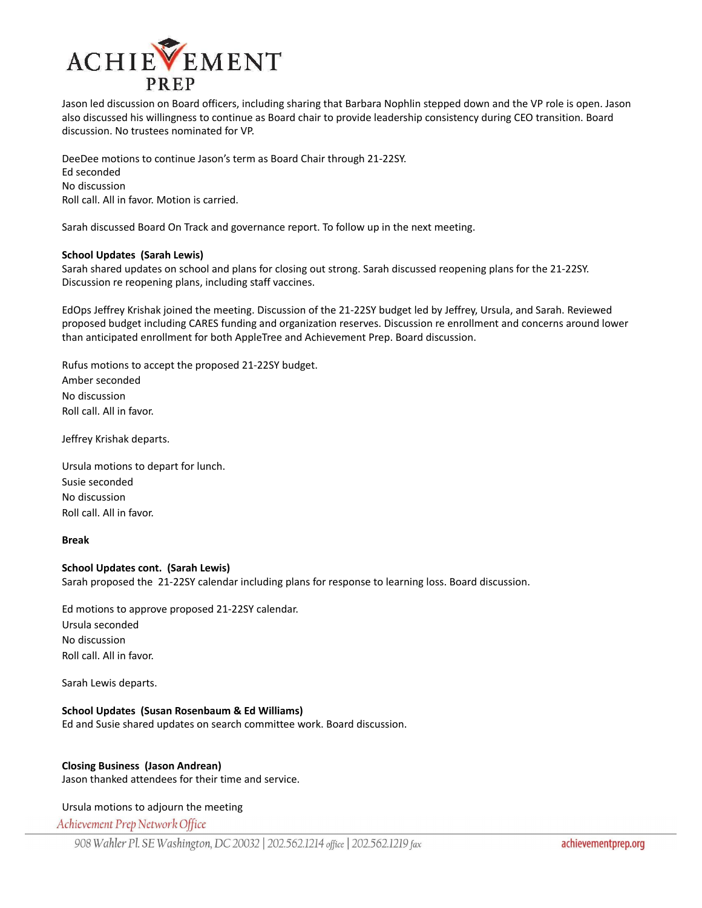

Jason led discussion on Board officers, including sharing that Barbara Nophlin stepped down and the VP role is open. Jason also discussed his willingness to continue as Board chair to provide leadership consistency during CEO transition. Board discussion. No trustees nominated for VP.

DeeDee motions to continue Jason's term as Board Chair through 21-22SY. Ed seconded No discussion Roll call. All in favor. Motion is carried.

Sarah discussed Board On Track and governance report. To follow up in the next meeting.

### **School Updates (Sarah Lewis)**

Sarah shared updates on school and plans for closing out strong. Sarah discussed reopening plans for the 21-22SY. Discussion re reopening plans, including staff vaccines.

EdOps Jeffrey Krishak joined the meeting. Discussion of the 21-22SY budget led by Jeffrey, Ursula, and Sarah. Reviewed proposed budget including CARES funding and organization reserves. Discussion re enrollment and concerns around lower than anticipated enrollment for both AppleTree and Achievement Prep. Board discussion.

Rufus motions to accept the proposed 21-22SY budget. Amber seconded No discussion Roll call. All in favor.

Jeffrey Krishak departs.

Ursula motions to depart for lunch. Susie seconded No discussion Roll call. All in favor.

### **Break**

### **School Updates cont. (Sarah Lewis)**

Sarah proposed the 21-22SY calendar including plans for response to learning loss. Board discussion.

Ed motions to approve proposed 21-22SY calendar. Ursula seconded No discussion Roll call. All in favor.

Sarah Lewis departs.

### **School Updates (Susan Rosenbaum & Ed Williams)**

Ed and Susie shared updates on search committee work. Board discussion.

# **Closing Business (Jason Andrean)**

Jason thanked attendees for their time and service.

### Ursula motions to adjourn the meeting

Achievement Prep Network Office